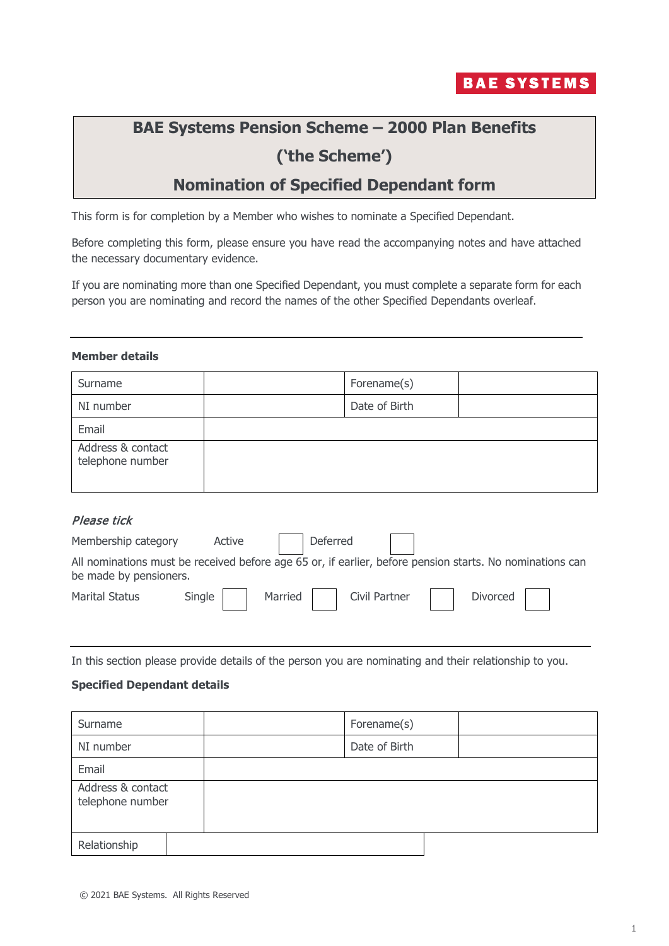

# **BAE Systems Pension Scheme – 2000 Plan Benefits ('the Scheme')**

# **Nomination of Specified Dependant form**

This form is for completion by a Member who wishes to nominate a Specified Dependant.

Before completing this form, please ensure you have read the accompanying notes and have attached the necessary documentary evidence.

If you are nominating more than one Specified Dependant, you must complete a separate form for each person you are nominating and record the names of the other Specified Dependants overleaf.

#### **Member details**

| Surname                               | Forename(s)   |  |
|---------------------------------------|---------------|--|
| NI number                             | Date of Birth |  |
| Email                                 |               |  |
| Address & contact<br>telephone number |               |  |

## Please tick

| Membership category    | Active |         | Deferred |               |                                                                                                          |  |
|------------------------|--------|---------|----------|---------------|----------------------------------------------------------------------------------------------------------|--|
| be made by pensioners. |        |         |          |               | All nominations must be received before age 65 or, if earlier, before pension starts. No nominations can |  |
| <b>Marital Status</b>  | Single | Married |          | Civil Partner | Divorced                                                                                                 |  |

In this section please provide details of the person you are nominating and their relationship to you.

### **Specified Dependant details**

| Surname                               | Forename(s)   |  |
|---------------------------------------|---------------|--|
| NI number                             | Date of Birth |  |
| Email                                 |               |  |
| Address & contact<br>telephone number |               |  |
| Relationship                          |               |  |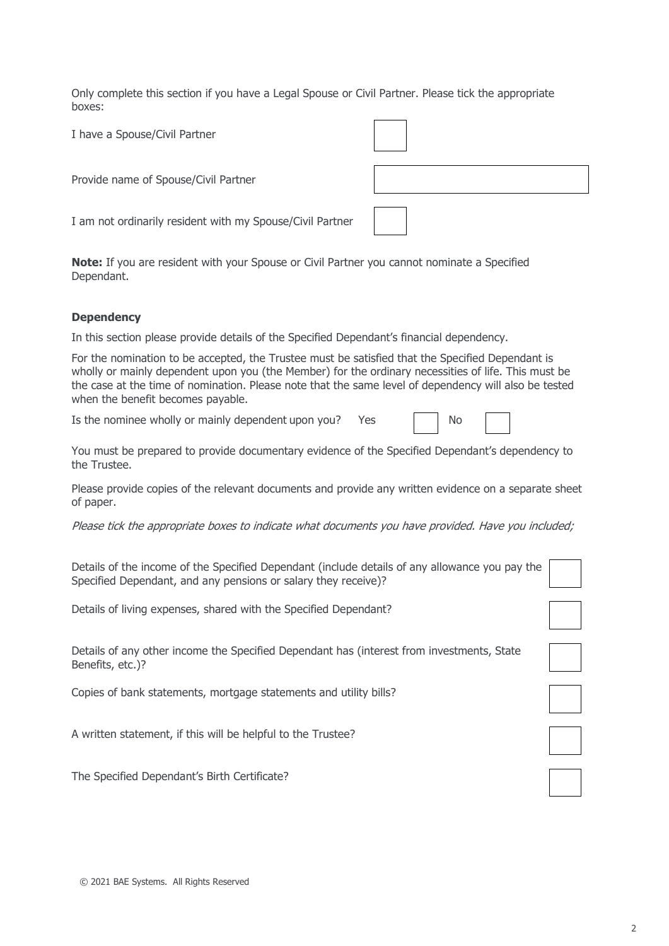Only complete this section if you have a Legal Spouse or Civil Partner. Please tick the appropriate boxes:

I have a Spouse/Civil Partner Provide name of Spouse/Civil Partner

I am not ordinarily resident with my Spouse/Civil Partner

**Note:** If you are resident with your Spouse or Civil Partner you cannot nominate a Specified Dependant.

### **Dependency**

In this section please provide details of the Specified Dependant's financial dependency.

For the nomination to be accepted, the Trustee must be satisfied that the Specified Dependant is wholly or mainly dependent upon you (the Member) for the ordinary necessities of life. This must be the case at the time of nomination. Please note that the same level of dependency will also be tested when the benefit becomes payable.

Is the nominee wholly or mainly dependent upon you? Yes a nominee wholly or mainly dependent upon you? Yes

You must be prepared to provide documentary evidence of the Specified Dependant's dependency to the Trustee.

Please provide copies of the relevant documents and provide any written evidence on a separate sheet of paper.

Please tick the appropriate boxes to indicate what documents you have provided. Have you included;

| Details of the income of the Specified Dependant (include details of any allowance you pay the |  |
|------------------------------------------------------------------------------------------------|--|
| Specified Dependant, and any pensions or salary they receive)?                                 |  |

Details of living expenses, shared with the Specified Dependant?

Details of any other income the Specified Dependant has (interest from investments, State Benefits, etc.)?

Copies of bank statements, mortgage statements and utility bills?

A written statement, if this will be helpful to the Trustee?

The Specified Dependant's Birth Certificate?